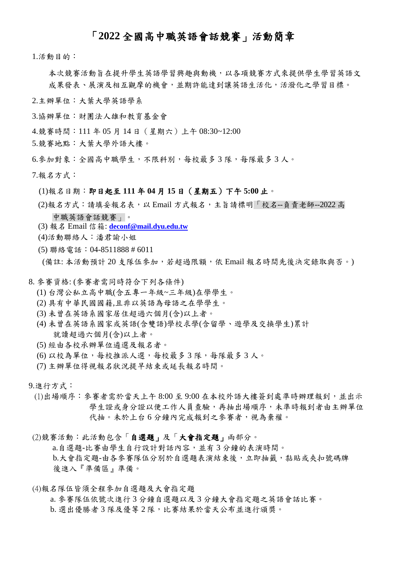### 「**2022** 全國高中職英語會話競賽」活動簡章

1.活動目的:

- 本次競賽活動旨在提升學生英語學習興趣與動機,以各項競賽方式來提供學生學習英語文 成果發表、展演及相互觀摩的機會,並期許能達到讓英語生活化,活潑化之學習目標。
- 2.主辦單位:大葉大學英語學系
- 3.協辦單位:財團法人雄和教育基金會
- 4.競賽時間:111 年 05 月 14 日(星期六)上午 08:30~12:00
- 5.競賽地點:大葉大學外語大樓。
- 6.參加對象:全國高中職學生,不限科別,每校最多 3 隊,每隊最多 3 人。
- 7.報名方式:
	- (1)報名日期:即日起至 **111** 年 **04** 月 **15** 日(星期五)下午 **5:00** 止。
	- (2)報名方式:請填妥報名表,以 Email 方式報名,主旨請標明「校名--負責老師--2022 高 中職英語會話競賽」。
	- (3) 報名 Email 信箱: **[deconf@mail.dyu.edu.tw](mailto:deconf@mail.dyu.edu.tw)**
	- (4)活動聯絡人:潘君諭小姐
	- (5) 聯絡電話:04-8511888 # 6011
	- (備註: 本活動預計 20 支隊伍參加,若超過限額,依 Email 報名時間先後決定錄取與否。)
- 8. 參賽資格: (參賽者需同時符合下列各條件)
	- (1) 台灣公私立高中職(含五專一年級~三年級)在學學生。
	- (2) 具有中華民國國籍,且非以英語為母語之在學學生。
	- (3) 未曾在英語系國家居住超過六個月(含)以上者。
	- (4) 未曾在英語系國家或英語(含雙語)學校求學(含留學、遊學及交換學生)累計 就讀超過六個月(含)以上者。
	- (5) 經由各校承辦單位遴選及報名者。
	- (6) 以校為單位,每校推派人選,每校最多 3 隊,每隊最多 3 人。
	- (7) 主辦單位得視報名狀況提早結束或延長報名時間。
- 9.進行方式:
	- (1)出場順序:參賽者需於當天上午 8:00 至 9:00 在本校外語大樓簽到處準時辦理報到,並出示 學生證或身分證以便工作人員查驗,再抽出場順序,未準時報到者由主辦單位 代抽。未於上台 6 分鐘內完成報到之參賽者,視為棄權。
	- (2)競賽活動:此活動包含「自選題」及「大會指定題」兩部分。 a.自選題-比賽由學生自行設計對話內容,並有 3 分鐘的表演時間。 b.大會指定題-由各參賽隊伍分別於自選題表演結束後,立即抽籤,黏貼或夾扣號碼牌 後進入『準備區』準備。
- (4)報名隊伍皆須全程參加自選題及大會指定題

 a. 參賽隊伍依號次進行 3 分鐘自選題以及 3 分鐘大會指定題之英語會話比賽。 b. 選出優勝者 3 隊及優等 2 隊,比賽結果於當天公布並進行頒獎。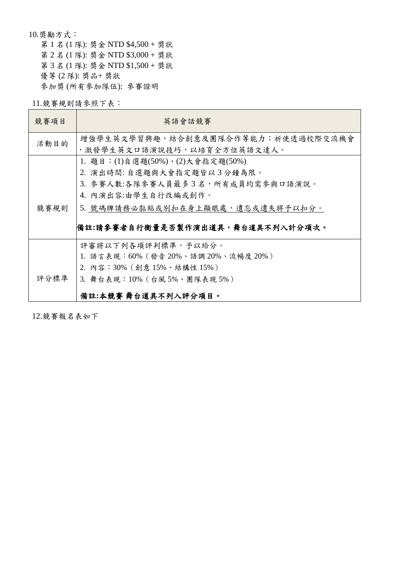10.獎勵方式: 第 1 名 (1 隊): 獎金 NTD \$4,500 + 獎狀 第 2 名 (1 隊): 獎金 NTD \$3,000 + 獎狀 第 3 名 (1 隊): 獎金 NTD \$1,500 + 獎狀 優等 (2 隊): 獎品+ 獎狀 參加獎 (所有參加隊伍): 參賽證明

11.競賽規則請參照下表:

| 競賽項目 | 英語會話競賽                              |  |  |  |
|------|-------------------------------------|--|--|--|
| 活動目的 | 增強學生英文學習興趣,結合創意及團隊合作等能力;祈使透過校際交流機會  |  |  |  |
|      | ,激發學生英文口語演說技巧,以培育全方位英語文達人。          |  |  |  |
|      | 1. 題目: (1)自選題(50%)、(2)大會指定題(50%)    |  |  |  |
|      | 2. 演出時間: 自選題與大會指定題皆以3分鐘為限。          |  |  |  |
|      | 3. 參賽人數:各隊參賽人員最多3名,所有成員均需參與口語演說。    |  |  |  |
|      | 4. 內演出容:由學生自行改編或創作。                 |  |  |  |
| 競賽規則 | 5. 號碼牌請務必黏貼或別扣在身上顯眼處,遺忘或遺失將予以扣分。    |  |  |  |
|      | 備註:請參賽者自行衡量是否製作演出道具,舞台道具不列入計分項次。    |  |  |  |
|      | 評審將以下列各項評判標準,予以給分。                  |  |  |  |
|      | 1. 語言表現:60% (發音 20%、語調 20%、流暢度 20%) |  |  |  |
|      | 2. 內容:30% (創意 15%、結構性 15%)          |  |  |  |
| 評分標準 | 3. 舞台表現: 10% (台風 5%、團隊表現 5%)        |  |  |  |
|      | 備註:本競賽 舞台道具不列入評分項目。                 |  |  |  |

12.競賽報名表如下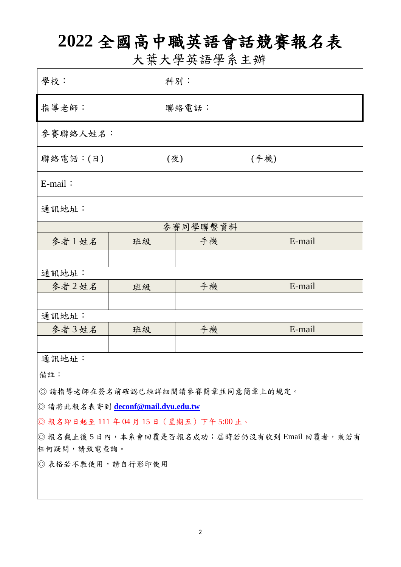# **2022** 全國高中職英語會話競賽報名表

大葉大學英語學系主辦

| 學校:                                            |    | 科別:   |        |  |  |
|------------------------------------------------|----|-------|--------|--|--|
| 指導老師:                                          |    | 聯絡電話: |        |  |  |
| 參賽聯絡人姓名:                                       |    |       |        |  |  |
| 聯絡電話:(日)                                       |    | (夜)   | (手機)   |  |  |
| $E$ -mail:                                     |    |       |        |  |  |
| 通訊地址:                                          |    |       |        |  |  |
| 參賽同學聯繫資料                                       |    |       |        |  |  |
| 參者1姓名                                          | 班級 | 手機    | E-mail |  |  |
|                                                |    |       |        |  |  |
| 通訊地址:                                          |    |       |        |  |  |
| 參者2姓名                                          | 班級 | 手機    | E-mail |  |  |
|                                                |    |       |        |  |  |
| 通訊地址:                                          |    |       |        |  |  |
| 參者3姓名                                          | 班級 | 手機    | E-mail |  |  |
|                                                |    |       |        |  |  |
| 通訊地址:                                          |    |       |        |  |  |
| 備註:                                            |    |       |        |  |  |
| ◎ 請指導老師在簽名前確認已經詳細閱讀參賽簡章並同意簡章上的規定。              |    |       |        |  |  |
| ◎ 請將此報名表寄到 deconf@mail.dyu.edu.tw              |    |       |        |  |  |
| ◎報名即日起至111年04月15日 (星期五) 下午5:00止。               |    |       |        |  |  |
| ◎ 報名截止後5日內,本系會回覆是否報名成功; 屆時若仍沒有收到 Email 回覆者,或若有 |    |       |        |  |  |
| 任何疑問,請致電查詢。                                    |    |       |        |  |  |
| ◎ 表格若不敷使用,請自行影印使用                              |    |       |        |  |  |
|                                                |    |       |        |  |  |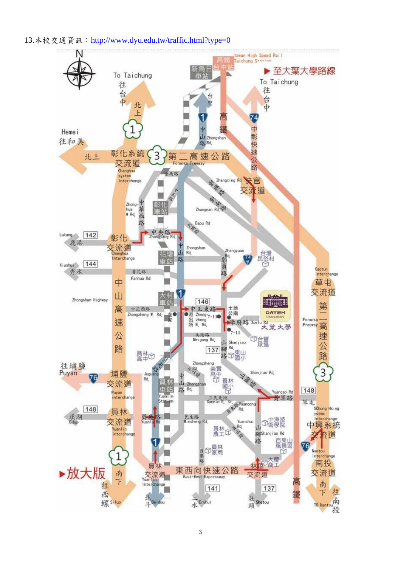13.本校交通資訊: http://www.dyu.edu.tw/traffic.html?type=0

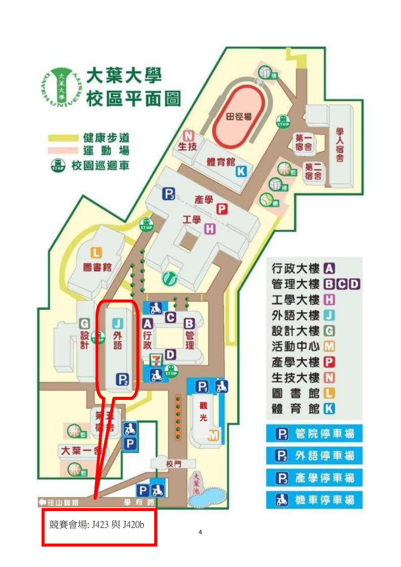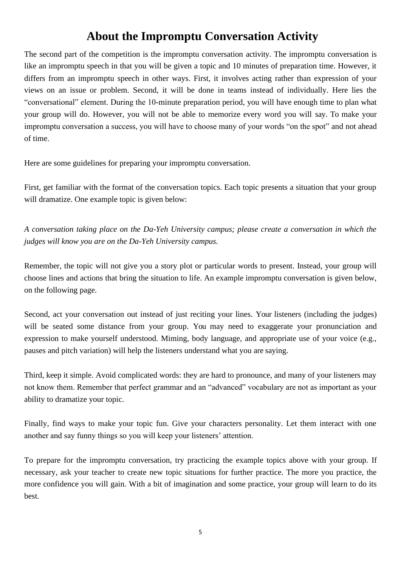### **About the Impromptu Conversation Activity**

The second part of the competition is the impromptu conversation activity. The impromptu conversation is like an impromptu speech in that you will be given a topic and 10 minutes of preparation time. However, it differs from an impromptu speech in other ways. First, it involves acting rather than expression of your views on an issue or problem. Second, it will be done in teams instead of individually. Here lies the "conversational" element. During the 10-minute preparation period, you will have enough time to plan what your group will do. However, you will not be able to memorize every word you will say. To make your impromptu conversation a success, you will have to choose many of your words "on the spot" and not ahead of time.

Here are some guidelines for preparing your impromptu conversation.

First, get familiar with the format of the conversation topics. Each topic presents a situation that your group will dramatize. One example topic is given below:

*A conversation taking place on the Da-Yeh University campus; please create a conversation in which the judges will know you are on the Da-Yeh University campus.*

Remember, the topic will not give you a story plot or particular words to present. Instead, your group will choose lines and actions that bring the situation to life. An example impromptu conversation is given below, on the following page.

Second, act your conversation out instead of just reciting your lines. Your listeners (including the judges) will be seated some distance from your group. You may need to exaggerate your pronunciation and expression to make yourself understood. Miming, body language, and appropriate use of your voice (e.g., pauses and pitch variation) will help the listeners understand what you are saying.

Third, keep it simple. Avoid complicated words: they are hard to pronounce, and many of your listeners may not know them. Remember that perfect grammar and an "advanced" vocabulary are not as important as your ability to dramatize your topic.

Finally, find ways to make your topic fun. Give your characters personality. Let them interact with one another and say funny things so you will keep your listeners' attention.

To prepare for the impromptu conversation, try practicing the example topics above with your group. If necessary, ask your teacher to create new topic situations for further practice. The more you practice, the more confidence you will gain. With a bit of imagination and some practice, your group will learn to do its best.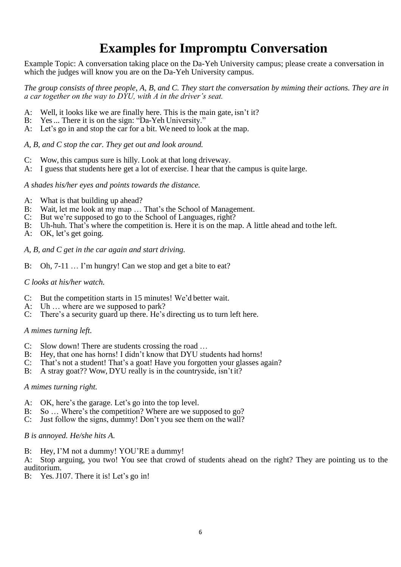## **Examples for Impromptu Conversation**

Example Topic: A conversation taking place on the Da-Yeh University campus; please create a conversation in which the judges will know you are on the Da-Yeh University campus.

*The group consists of three people, A, B, and C. They start the conversation by miming their actions. They are in a car together on the way to DYU, with A in the driver's seat.*

- A: Well, it looks like we are finally here. This is the main gate, isn't it?
- B: Yes ... There it is on the sign: "Da-Yeh University."
- A: Let's go in and stop the car for a bit. We need to look at the map.

*A, B, and C stop the car. They get out and look around.*

- C: Wow, this campus sure is hilly. Look at that long driveway.
- A: I guess that students here get a lot of exercise. I hear that the campus is quite large.

#### *A shades his/her eyes and points towards the distance.*

- A: What is that building up ahead?
- B: Wait, let me look at my map … That's the School of Management.
- 
- C: But we're supposed to go to the School of Languages, right?<br>B: Uh-huh. That's where the competition is. Here it is on the ma Uh-huh. That's where the competition is. Here it is on the map. A little ahead and to the left.
- A: OK, let's get going.
- *A, B, and C get in the car again and start driving.*
- B: Oh, 7-11 ... I'm hungry! Can we stop and get a bite to eat?

#### *C looks at his/her watch.*

- C: But the competition starts in 15 minutes! We'd better wait.
- A: Uh … where are we supposed to park?
- C: There's a security guard up there. He's directing us to turn left here.

#### *A mimes turning left.*

- C: Slow down! There are students crossing the road …
- B: Hey, that one has horns! I didn't know that DYU students had horns!
- C: That's not a student! That's a goat! Have you forgotten your glasses again?
- B: A stray goat?? Wow, DYU really is in the countryside, isn't it?

#### *A mimes turning right.*

- A: OK, here's the garage. Let's go into the top level.
- B: So … Where's the competition? Where are we supposed to go?
- C: Just follow the signs, dummy! Don't you see them on the wall?

#### *B is annoyed. He/she hits A.*

B: Hey, I'M not a dummy! YOU'RE a dummy!

A: Stop arguing, you two! You see that crowd of students ahead on the right? They are pointing us to the auditorium.

B: Yes. J107. There it is! Let's go in!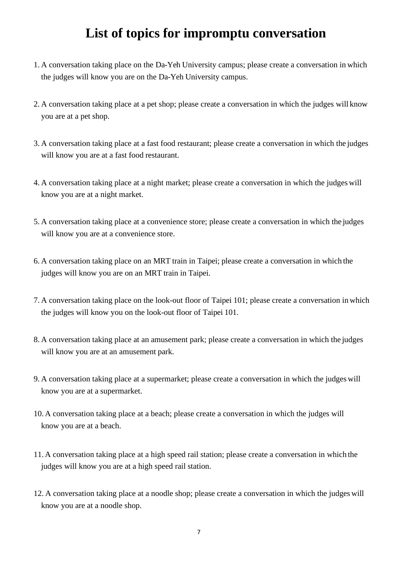### **List of topics for impromptu conversation**

- 1. A conversation taking place on the Da-Yeh University campus; please create a conversation in which the judges will know you are on the Da-Yeh University campus.
- 2. A conversation taking place at a pet shop; please create a conversation in which the judges will know you are at a pet shop.
- 3. A conversation taking place at a fast food restaurant; please create a conversation in which the judges will know you are at a fast food restaurant.
- 4. A conversation taking place at a night market; please create a conversation in which the judges will know you are at a night market.
- 5. A conversation taking place at a convenience store; please create a conversation in which the judges will know you are at a convenience store.
- 6. A conversation taking place on an MRT train in Taipei; please create a conversation in which the judges will know you are on an MRT train in Taipei.
- 7. A conversation taking place on the look-out floor of Taipei 101; please create a conversation in which the judges will know you on the look-out floor of Taipei 101.
- 8. A conversation taking place at an amusement park; please create a conversation in which the judges will know you are at an amusement park.
- 9. A conversation taking place at a supermarket; please create a conversation in which the judges will know you are at a supermarket.
- 10. A conversation taking place at a beach; please create a conversation in which the judges will know you are at a beach.
- 11. A conversation taking place at a high speed rail station; please create a conversation in which the judges will know you are at a high speed rail station.
- 12. A conversation taking place at a noodle shop; please create a conversation in which the judges will know you are at a noodle shop.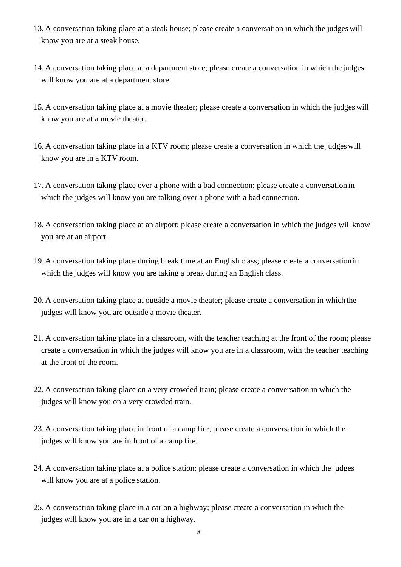- 13. A conversation taking place at a steak house; please create a conversation in which the judges will know you are at a steak house.
- 14. A conversation taking place at a department store; please create a conversation in which the judges will know you are at a department store.
- 15. A conversation taking place at a movie theater; please create a conversation in which the judges will know you are at a movie theater.
- 16. A conversation taking place in a KTV room; please create a conversation in which the judgeswill know you are in a KTV room.
- 17. A conversation taking place over a phone with a bad connection; please create a conversation in which the judges will know you are talking over a phone with a bad connection.
- 18. A conversation taking place at an airport; please create a conversation in which the judges will know you are at an airport.
- 19. A conversation taking place during break time at an English class; please create a conversation in which the judges will know you are taking a break during an English class.
- 20. A conversation taking place at outside a movie theater; please create a conversation in which the judges will know you are outside a movie theater.
- 21. A conversation taking place in a classroom, with the teacher teaching at the front of the room; please create a conversation in which the judges will know you are in a classroom, with the teacher teaching at the front of the room.
- 22. A conversation taking place on a very crowded train; please create a conversation in which the judges will know you on a very crowded train.
- 23. A conversation taking place in front of a camp fire; please create a conversation in which the judges will know you are in front of a camp fire.
- 24. A conversation taking place at a police station; please create a conversation in which the judges will know you are at a police station.
- 25. A conversation taking place in a car on a highway; please create a conversation in which the judges will know you are in a car on a highway.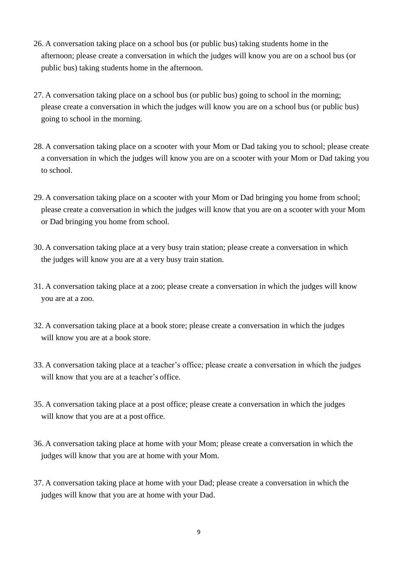- 26. A conversation taking place on a school bus (or public bus) taking students home in the afternoon; please create a conversation in which the judges will know you are on a school bus (or public bus) taking students home in the afternoon.
- 27. A conversation taking place on a school bus (or public bus) going to school in the morning; please create a conversation in which the judges will know you are on a school bus (or public bus) going to school in the morning.
- 28. A conversation taking place on a scooter with your Mom or Dad taking you to school; please create a conversation in which the judges will know you are on a scooter with your Mom or Dad taking you to school.
- 29. A conversation taking place on a scooter with your Mom or Dad bringing you home from school; please create a conversation in which the judges will know that you are on a scooter with your Mom or Dad bringing you home from school.
- 30. A conversation taking place at a very busy train station; please create a conversation in which the judges will know you are at a very busy train station.
- 31. A conversation taking place at a zoo; please create a conversation in which the judges will know you are at a zoo.
- 32. A conversation taking place at a book store; please create a conversation in which the judges will know you are at a book store.
- 33. A conversation taking place at a teacher's office; please create a conversation in which the judges will know that you are at a teacher's office.
- 35. A conversation taking place at a post office; please create a conversation in which the judges will know that you are at a post office.
- 36. A conversation taking place at home with your Mom; please create a conversation in which the judges will know that you are at home with your Mom.
- 37. A conversation taking place at home with your Dad; please create a conversation in which the judges will know that you are at home with your Dad.